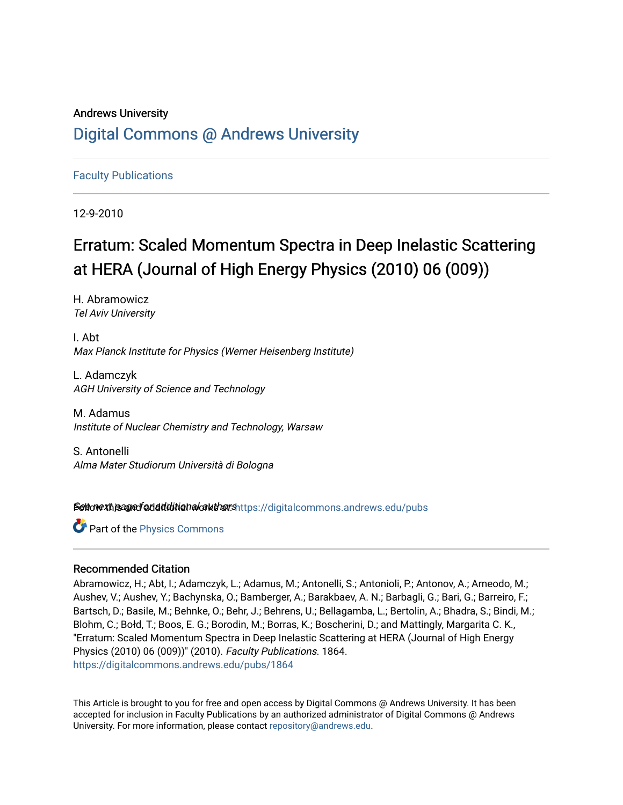## Andrews University [Digital Commons @ Andrews University](https://digitalcommons.andrews.edu/)

### [Faculty Publications](https://digitalcommons.andrews.edu/pubs)

12-9-2010

# Erratum: Scaled Momentum Spectra in Deep Inelastic Scattering at HERA (Journal of High Energy Physics (2010) 06 (009))

H. Abramowicz Tel Aviv University

I. Abt Max Planck Institute for Physics (Werner Heisenberg Institute)

L. Adamczyk AGH University of Science and Technology

M. Adamus Institute of Nuclear Chemistry and Technology, Warsaw

S. Antonelli Alma Mater Studiorum Università di Bologna

Settow the age of additional authors https://digitalcommons.andrews.edu/pubs

Part of the [Physics Commons](http://network.bepress.com/hgg/discipline/193?utm_source=digitalcommons.andrews.edu%2Fpubs%2F1864&utm_medium=PDF&utm_campaign=PDFCoverPages)

### Recommended Citation

Abramowicz, H.; Abt, I.; Adamczyk, L.; Adamus, M.; Antonelli, S.; Antonioli, P.; Antonov, A.; Arneodo, M.; Aushev, V.; Aushev, Y.; Bachynska, O.; Bamberger, A.; Barakbaev, A. N.; Barbagli, G.; Bari, G.; Barreiro, F.; Bartsch, D.; Basile, M.; Behnke, O.; Behr, J.; Behrens, U.; Bellagamba, L.; Bertolin, A.; Bhadra, S.; Bindi, M.; Blohm, C.; Bołd, T.; Boos, E. G.; Borodin, M.; Borras, K.; Boscherini, D.; and Mattingly, Margarita C. K., "Erratum: Scaled Momentum Spectra in Deep Inelastic Scattering at HERA (Journal of High Energy Physics (2010) 06 (009))" (2010). Faculty Publications. 1864. [https://digitalcommons.andrews.edu/pubs/1864](https://digitalcommons.andrews.edu/pubs/1864?utm_source=digitalcommons.andrews.edu%2Fpubs%2F1864&utm_medium=PDF&utm_campaign=PDFCoverPages) 

This Article is brought to you for free and open access by Digital Commons @ Andrews University. It has been accepted for inclusion in Faculty Publications by an authorized administrator of Digital Commons @ Andrews University. For more information, please contact [repository@andrews.edu](mailto:repository@andrews.edu).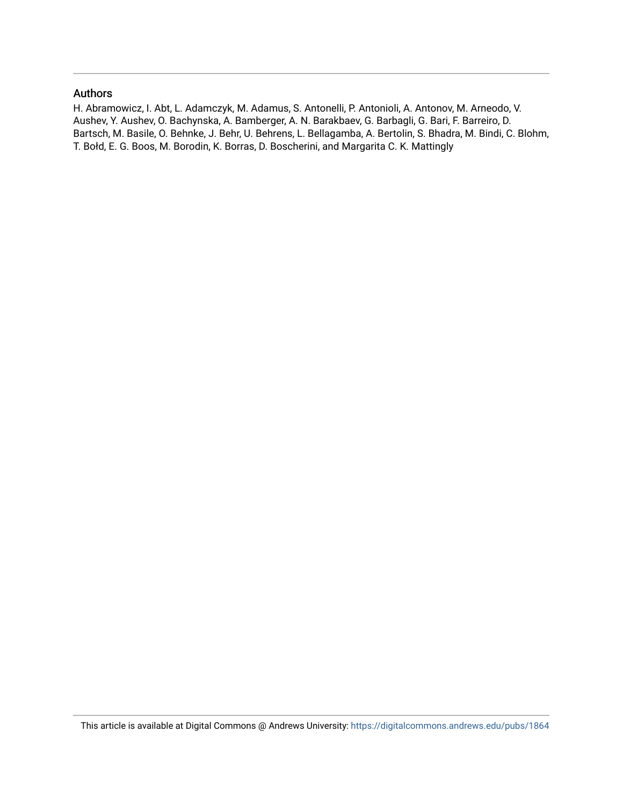#### Authors

H. Abramowicz, I. Abt, L. Adamczyk, M. Adamus, S. Antonelli, P. Antonioli, A. Antonov, M. Arneodo, V. Aushev, Y. Aushev, O. Bachynska, A. Bamberger, A. N. Barakbaev, G. Barbagli, G. Bari, F. Barreiro, D. Bartsch, M. Basile, O. Behnke, J. Behr, U. Behrens, L. Bellagamba, A. Bertolin, S. Bhadra, M. Bindi, C. Blohm, T. Bołd, E. G. Boos, M. Borodin, K. Borras, D. Boscherini, and Margarita C. K. Mattingly

This article is available at Digital Commons @ Andrews University:<https://digitalcommons.andrews.edu/pubs/1864>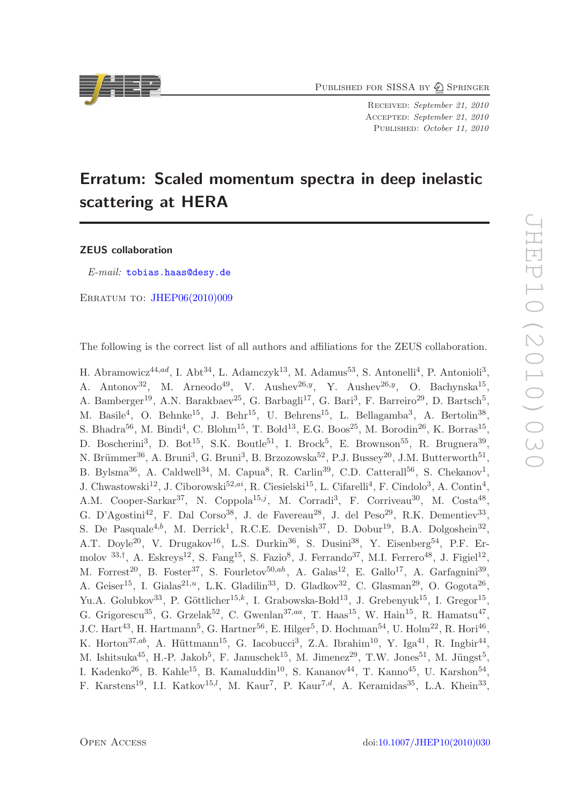PUBLISHED FOR SISSA BY 2 SPRINGER

Received: September 21, 2010 ACCEPTED: September 21, 2010 PUBLISHED: October 11, 2010

# Erratum: Scaled momentum spectra in deep inelastic scattering at HERA

#### ZEUS collaboration

*E-mail:* [tobias.haas@desy.de](mailto:tobias.haas@desy.de)

Erratum to: [JHEP06\(2010\)009](http://dx.doi.org/10.1007/JHEP06(2010)009)

The following is the correct list of all authors and affiliations for the ZEUS collaboration.

H. Abramowicz<sup>44,ad</sup>, I. Abt<sup>34</sup>, L. Adamczyk<sup>13</sup>, M. Adamus<sup>53</sup>, S. Antonelli<sup>4</sup>, P. Antonioli<sup>3</sup>, A. Antonov<sup>32</sup>, M. Arneodo<sup>49</sup>, V. Aushev<sup>26, y</sup>, Y. Aushev<sup>26, y</sup>, O. Bachynska<sup>15</sup>, A. Bamberger<sup>19</sup>, A.N. Barakbaev<sup>25</sup>, G. Barbagli<sup>17</sup>, G. Bari<sup>3</sup>, F. Barreiro<sup>29</sup>, D. Bartsch<sup>5</sup>, M. Basile<sup>4</sup>, O. Behnke<sup>15</sup>, J. Behr<sup>15</sup>, U. Behrens<sup>15</sup>, L. Bellagamba<sup>3</sup>, A. Bertolin<sup>38</sup>, S. Bhadra<sup>56</sup>, M. Bindi<sup>4</sup>, C. Blohm<sup>15</sup>, T. Bołd<sup>13</sup>, E.G. Boos<sup>25</sup>, M. Borodin<sup>26</sup>, K. Borras<sup>15</sup>, D. Boscherini<sup>3</sup>, D. Bot<sup>15</sup>, S.K. Boutle<sup>51</sup>, I. Brock<sup>5</sup>, E. Brownson<sup>55</sup>, R. Brugnera<sup>39</sup>, N. Brümmer<sup>36</sup>, A. Bruni<sup>3</sup>, G. Bruni<sup>3</sup>, B. Brzozowska<sup>52</sup>, P.J. Bussey<sup>20</sup>, J.M. Butterworth<sup>51</sup>, B. Bylsma<sup>36</sup>, A. Caldwell<sup>34</sup>, M. Capua<sup>8</sup>, R. Carlin<sup>39</sup>, C.D. Catterall<sup>56</sup>, S. Chekanov<sup>1</sup>, J. Chwastowski<sup>12</sup>, J. Ciborowski<sup>52,ai</sup>, R. Ciesielski<sup>15</sup>, L. Cifarelli<sup>4</sup>, F. Cindolo<sup>3</sup>, A. Contin<sup>4</sup>, A.M. Cooper-Sarkar<sup>37</sup>, N. Coppola<sup>15,j</sup>, M. Corradi<sup>3</sup>, F. Corriveau<sup>30</sup>, M. Costa<sup>48</sup>, G. D'Agostini<sup>42</sup>, F. Dal Corso<sup>38</sup>, J. de Favereau<sup>28</sup>, J. del Peso<sup>29</sup>, R.K. Dementiev<sup>33</sup>, S. De Pasquale<sup>4,b</sup>, M. Derrick<sup>1</sup>, R.C.E. Devenish<sup>37</sup>, D. Dobur<sup>19</sup>, B.A. Dolgoshein<sup>32</sup>, A.T. Doyle<sup>20</sup>, V. Drugakov<sup>16</sup>, L.S. Durkin<sup>36</sup>, S. Dusini<sup>38</sup>, Y. Eisenberg<sup>54</sup>, P.F. Ermolov <sup>33,†</sup>, A. Eskreys<sup>12</sup>, S. Fang<sup>15</sup>, S. Fazio<sup>8</sup>, J. Ferrando<sup>37</sup>, M.I. Ferrero<sup>48</sup>, J. Figiel<sup>12</sup>, M. Forrest<sup>20</sup>, B. Foster<sup>37</sup>, S. Fourletov<sup>50,ah</sup>, A. Galas<sup>12</sup>, E. Gallo<sup>17</sup>, A. Garfagnini<sup>39</sup>, A. Geiser<sup>15</sup>, I. Gialas<sup>21,u</sup>, L.K. Gladilin<sup>33</sup>, D. Gladkov<sup>32</sup>, C. Glasman<sup>29</sup>, O. Gogota<sup>26</sup>, Yu.A. Golubkov<sup>33</sup>, P. Göttlicher<sup>15,k</sup>, I. Grabowska-Bołd<sup>13</sup>, J. Grebenyuk<sup>15</sup>, I. Gregor<sup>15</sup>, G. Grigorescu<sup>35</sup>, G. Grzelak<sup>52</sup>, C. Gwenlan<sup>37,aa</sup>, T. Haas<sup>15</sup>, W. Hain<sup>15</sup>, R. Hamatsu<sup>47</sup>, J.C. Hart<sup>43</sup>, H. Hartmann<sup>5</sup>, G. Hartner<sup>56</sup>, E. Hilger<sup>5</sup>, D. Hochman<sup>54</sup>, U. Holm<sup>22</sup>, R. Hori<sup>46</sup>, K. Horton<sup>37,ab</sup>, A. Hüttmann<sup>15</sup>, G. Iacobucci<sup>3</sup>, Z.A. Ibrahim<sup>10</sup>, Y. Iga<sup>41</sup>, R. Ingbir<sup>44</sup>, M. Ishitsuka<sup>45</sup>, H.-P. Jakob<sup>5</sup>, F. Januschek<sup>15</sup>, M. Jimenez<sup>29</sup>, T.W. Jones<sup>51</sup>, M. Jüngst<sup>5</sup>, I. Kadenko<sup>26</sup>, B. Kahle<sup>15</sup>, B. Kamaluddin<sup>10</sup>, S. Kananov<sup>44</sup>, T. Kanno<sup>45</sup>, U. Karshon<sup>54</sup>, F. Karstens<sup>19</sup>, I.I. Katkov<sup>15,*l*</sup>, M. Kaur<sup>7</sup>, P. Kaur<sup>7,*d*</sup>, A. Keramidas<sup>35</sup>, L.A. Khein<sup>33</sup>,

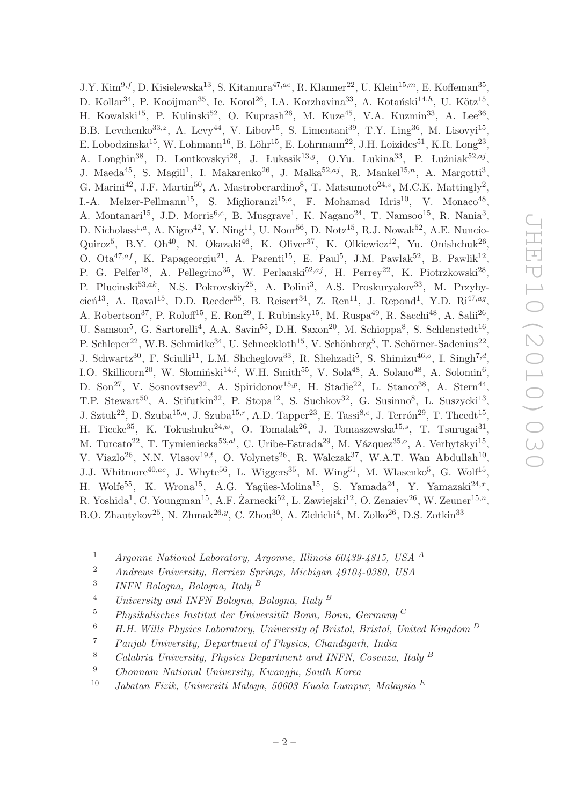J.Y. Kim<sup>9,f</sup>, D. Kisielewska<sup>13</sup>, S. Kitamura<sup>47,ae</sup>, R. Klanner<sup>22</sup>, U. Klein<sup>15,m</sup>, E. Koffeman<sup>35</sup>, D. Kollar<sup>34</sup>, P. Kooijman<sup>35</sup>, Ie. Korol<sup>26</sup>, I.A. Korzhavina<sup>33</sup>, A. Kotański<sup>14,h</sup>, U. Kötz<sup>15</sup>, H. Kowalski<sup>15</sup>, P. Kulinski<sup>52</sup>, O. Kuprash<sup>26</sup>, M. Kuze<sup>45</sup>, V.A. Kuzmin<sup>33</sup>, A. Lee<sup>36</sup>, B.B. Levchenko<sup>33, z</sup>, A. Levy<sup>44</sup>, V. Libov<sup>15</sup>, S. Limentani<sup>39</sup>, T.Y. Ling<sup>36</sup>, M. Lisovyi<sup>15</sup>. E. Lobodzinska<sup>15</sup>, W. Lohmann<sup>16</sup>, B. Löhr<sup>15</sup>, E. Lohrmann<sup>22</sup>, J.H. Loizides<sup>51</sup>, K.R. Long<sup>23</sup>, A. Longhin<sup>38</sup>, D. Lontkovskyi<sup>26</sup>, J. Lukasik<sup>13,g</sup>, O.Yu. Lukina<sup>33</sup>, P. Lużniak<sup>52,aj</sup>, J. Maeda<sup>45</sup>, S. Magill<sup>1</sup>, I. Makarenko<sup>26</sup>, J. Malka<sup>52,aj</sup>, R. Mankel<sup>15,n</sup>, A. Margotti<sup>3</sup>, G. Marini<sup>42</sup>, J.F. Martin<sup>50</sup>, A. Mastroberardino<sup>8</sup>, T. Matsumoto<sup>24,v</sup>, M.C.K. Mattingly<sup>2</sup>, I.-A. Melzer-Pellmann<sup>15</sup>, S. Miglioranzi<sup>15,0</sup>, F. Mohamad Idris<sup>10</sup>, V. Monaco<sup>48</sup>, A. Montanari<sup>15</sup>, J.D. Morris<sup>6,c</sup>, B. Musgrave<sup>1</sup>, K. Nagano<sup>24</sup>, T. Namsoo<sup>15</sup>, R. Nania<sup>3</sup>, D. Nicholass<sup>1,a</sup>, A. Nigro<sup>42</sup>, Y. Ning<sup>11</sup>, U. Noor<sup>56</sup>, D. Notz<sup>15</sup>, R.J. Nowak<sup>52</sup>, A.E. Nuncio-Quiroz<sup>5</sup>, B.Y. Oh<sup>40</sup>, N. Okazaki<sup>46</sup>, K. Oliver<sup>37</sup>, K. Olkiewicz<sup>12</sup>, Yu. Onishchuk<sup>26</sup>, O. Ota<sup>47,af</sup>, K. Papageorgiu<sup>21</sup>, A. Parenti<sup>15</sup>, E. Paul<sup>5</sup>, J.M. Pawlak<sup>52</sup>, B. Pawlik<sup>12</sup>, P. G. Pelfer<sup>18</sup>, A. Pellegrino<sup>35</sup>, W. Perlanski<sup>52,aj</sup>, H. Perrey<sup>22</sup>, K. Piotrzkowski<sup>28</sup>, P. Plucinski<sup>53,ak</sup>, N.S. Pokrovskiy<sup>25</sup>, A. Polini<sup>3</sup>, A.S. Proskuryakov<sup>33</sup>, M. Przybycien<sup>13</sup>, A. Raval<sup>15</sup>, D.D. Reeder<sup>55</sup>, B. Reisert<sup>34</sup>, Z. Ren<sup>11</sup>, J. Repond<sup>1</sup>, Y.D. Ri<sup>47,ag</sup>, A. Robertson<sup>37</sup>, P. Roloff<sup>15</sup>, E. Ron<sup>29</sup>, I. Rubinsky<sup>15</sup>, M. Ruspa<sup>49</sup>, R. Sacchi<sup>48</sup>, A. Salii<sup>26</sup>, U. Samson<sup>5</sup>, G. Sartorelli<sup>4</sup>, A.A. Savin<sup>55</sup>, D.H. Saxon<sup>20</sup>, M. Schioppa<sup>8</sup>, S. Schlenstedt<sup>16</sup>, P. Schleper<sup>22</sup>, W.B. Schmidke<sup>34</sup>, U. Schneekloth<sup>15</sup>, V. Schönberg<sup>5</sup>, T. Schörner-Sadenius<sup>22</sup>, J. Schwartz<sup>30</sup>, F. Sciulli<sup>11</sup>, L.M. Shcheglova<sup>33</sup>, R. Shehzadi<sup>5</sup>, S. Shimizu<sup>46,o</sup>, I. Singh<sup>7,d</sup>, I.O. Skillicorn<sup>20</sup>, W. Słomiński<sup>14,*i*</sup>, W.H. Smith<sup>55</sup>, V. Sola<sup>48</sup>, A. Solano<sup>48</sup>, A. Solomin<sup>6</sup>, D. Son<sup>27</sup>, V. Sosnovtsev<sup>32</sup>, A. Spiridonov<sup>15,p</sup>, H. Stadie<sup>22</sup>, L. Stanco<sup>38</sup>, A. Stern<sup>44</sup>, T.P. Stewart<sup>50</sup>, A. Stifutkin<sup>32</sup>, P. Stopa<sup>12</sup>, S. Suchkov<sup>32</sup>, G. Susinno<sup>8</sup>, L. Suszycki<sup>13</sup>, J. Sztuk<sup>22</sup>, D. Szuba<sup>15,q</sup>, J. Szuba<sup>15,r</sup>, A.D. Tapper<sup>23</sup>, E. Tassi<sup>8,e</sup>, J. Terrón<sup>29</sup>, T. Theedt<sup>15</sup>, H. Tiecke<sup>35</sup>, K. Tokushuku<sup>24,w</sup>, O. Tomalak<sup>26</sup>, J. Tomaszewska<sup>15,s</sup>, T. Tsurugai<sup>31</sup>, M. Turcato<sup>22</sup>, T. Tymieniecka<sup>53,al</sup>, C. Uribe-Estrada<sup>29</sup>, M. Vázquez<sup>35,o</sup>, A. Verbytskyi<sup>15</sup>, V. Viazlo<sup>26</sup>, N.N. Vlasov<sup>19,t</sup>, O. Volynets<sup>26</sup>, R. Walczak<sup>37</sup>, W.A.T. Wan Abdullah<sup>10</sup>, J.J. Whitmore<sup>40,ac</sup>, J. Whyte<sup>56</sup>, L. Wiggers<sup>35</sup>, M. Wing<sup>51</sup>, M. Wlasenko<sup>5</sup>, G. Wolf<sup>15</sup>, H. Wolfe<sup>55</sup>, K. Wrona<sup>15</sup>, A.G. Yagües-Molina<sup>15</sup>, S. Yamada<sup>24</sup>, Y. Yamazaki<sup>24,x</sup>, R. Yoshida<sup>1</sup>, C. Youngman<sup>15</sup>, A.F. Zarnecki<sup>52</sup>, L. Zawiejski<sup>12</sup>, O. Zenaiev<sup>26</sup>, W. Zeuner<sup>15,n</sup>, B.O. Zhautykov<sup>25</sup>, N. Zhmak<sup>26, y</sup>, C. Zhou<sup>30</sup>, A. Zichichi<sup>4</sup>, M. Zolko<sup>26</sup>, D.S. Zotkin<sup>33</sup>

- $\,1\,$ Argonne National Laboratory, Argonne, Illinois 60439-4815, USA <sup>A</sup>
- $\,2$ Andrews University, Berrien Springs, Michigan 49104-0380, USA
- $\sqrt{3}$ INFN Bologna, Bologna, Italy<sup>B</sup>
- $\overline{4}$ University and INFN Bologna, Bologna, Italy B
- $5\,$ Physikalisches Institut der Universität Bonn, Bonn, Germany  $C$
- $\,6\,$ H.H. Wills Physics Laboratory, University of Bristol, Bristol, United Kingdom<sup>D</sup>
- $\,7$ Panjab University, Department of Physics, Chandigarh, India
- $8\,$ Calabria University, Physics Department and INFN, Cosenza, Italy <sup>B</sup>
- $\,9$ Chonnam National University, Kwanqju, South Korea
- $10\,$ Jabatan Fizik, Universiti Malaya, 50603 Kuala Lumpur, Malaysia  $E$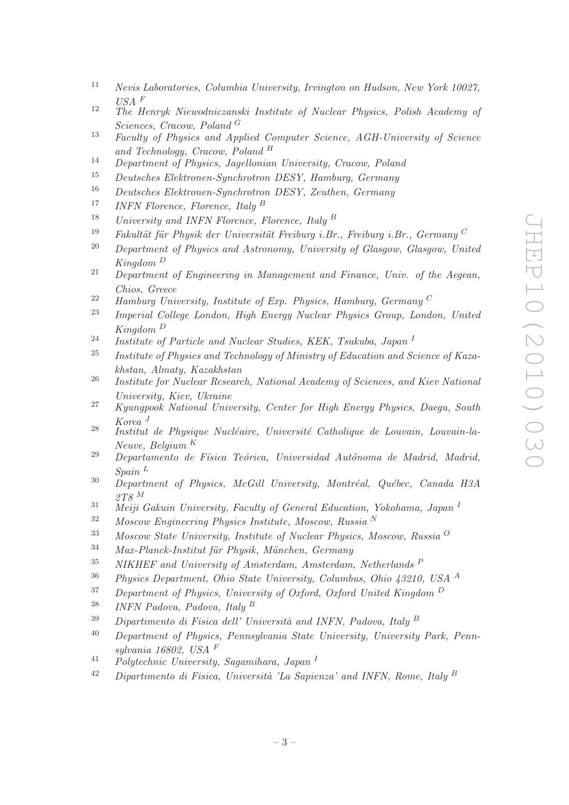- <sup>11</sup> *Nevis Laboratories, Columbia University, Irvington on Hudson, New York 10027, USA* <sup>F</sup>
- <sup>12</sup> *The Henryk Niewodniczanski Institute of Nuclear Physics, Polish Academy of Sciences, Cracow, Poland* <sup>G</sup>
- <sup>13</sup> *Faculty of Physics and Applied Computer Science, AGH-University of Science and Technology, Cracow, Poland* <sup>H</sup>
- <sup>14</sup> *Department of Physics, Jagellonian University, Cracow, Poland*
- <sup>15</sup> *Deutsches Elektronen-Synchrotron DESY, Hamburg, Germany*
- <sup>16</sup> *Deutsches Elektronen-Synchrotron DESY, Zeuthen, Germany*
- <sup>17</sup> *INFN Florence, Florence, Italy* <sup>B</sup>
- <sup>18</sup> *University and INFN Florence, Florence, Italy* <sup>B</sup>
- <sup>19</sup> *Fakultät für Physik der Universität Freiburg i.Br., Freiburg i.Br., Germany* C
- <sup>20</sup> *Department of Physics and Astronomy, University of Glasgow, Glasgow, United Kingdom* <sup>D</sup>
- <sup>21</sup> *Department of Engineering in Management and Finance, Univ. of the Aegean, Chios, Greece*
- <sup>22</sup> *Hamburg University, Institute of Exp. Physics, Hamburg, Germany* <sup>C</sup>
- <sup>23</sup> *Imperial College London, High Energy Nuclear Physics Group, London, United Kingdom* <sup>D</sup>
- <sup>24</sup> *Institute of Particle and Nuclear Studies, KEK, Tsukuba, Japan* <sup>I</sup>
- <sup>25</sup> *Institute of Physics and Technology of Ministry of Education and Science of Kazakhstan, Almaty, Kazakhstan*
- <sup>26</sup> *Institute for Nuclear Research, National Academy of Sciences, and Kiev National University, Kiev, Ukraine*
- <sup>27</sup> *Kyungpook National University, Center for High Energy Physics, Daegu, South Korea* <sup>J</sup>
- <sup>28</sup> Institut de Physique Nucléaire, Université Catholique de Louvain, Louvain-la-*Neuve, Belgium* <sup>K</sup>
- <sup>29</sup> Departamento de Física Teórica, Universidad Autónoma de Madrid, Madrid, *Spain* <sup>L</sup>
- <sup>30</sup> *Department of Physics, McGill University, Montréal, Québec, Canada H3A 2T8* <sup>M</sup>
- <sup>31</sup> *Meiji Gakuin University, Faculty of General Education, Yokohama, Japan* <sup>I</sup>
- <sup>32</sup> *Moscow Engineering Physics Institute, Moscow, Russia* <sup>N</sup>
- <sup>33</sup> *Moscow State University, Institute of Nuclear Physics, Moscow, Russia* <sup>O</sup>
- <sup>34</sup> *Max-Planck-Institut f¨ur Physik, M¨unchen, Germany*
- <sup>35</sup> *NIKHEF and University of Amsterdam, Amsterdam, Netherlands* P
- <sup>36</sup> *Physics Department, Ohio State University, Columbus, Ohio 43210, USA* <sup>A</sup>
- <sup>37</sup> *Department of Physics, University of Oxford, Oxford United Kingdom* <sup>D</sup>
- <sup>38</sup> *INFN Padova, Padova, Italy* <sup>B</sup>
- <sup>39</sup> *Dipartimento di Fisica dell' Università and INFN, Padova, Italy* <sup>B</sup>
- <sup>40</sup> *Department of Physics, Pennsylvania State University, University Park, Pennsylvania 16802, USA* <sup>F</sup>
- <sup>41</sup> *Polytechnic University, Sagamihara, Japan* <sup>I</sup>
- <sup>42</sup> *Dipartimento di Fisica, Università 'La Sapienza' and INFN, Rome, Italy* <sup>B</sup>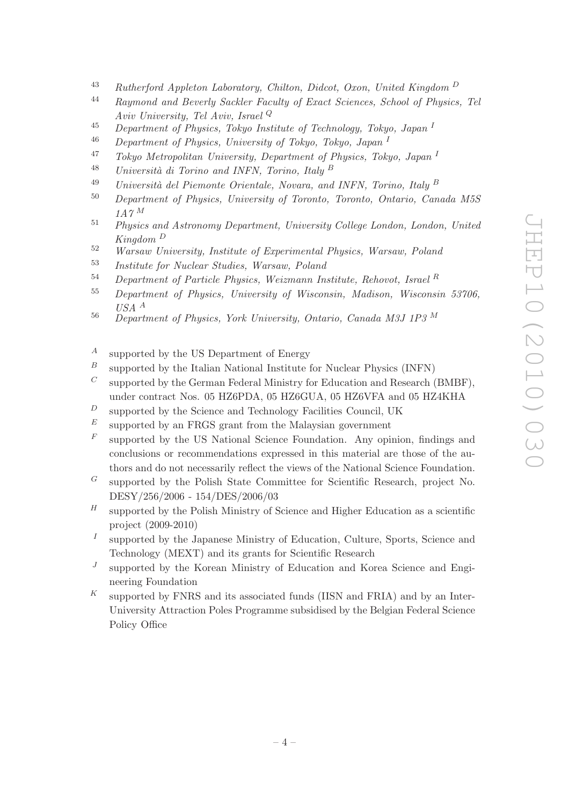- <sup>43</sup> *Rutherford Appleton Laboratory, Chilton, Didcot, Oxon, United Kingdom* <sup>D</sup>
- <sup>44</sup> *Raymond and Beverly Sackler Faculty of Exact Sciences, School of Physics, Tel Aviv University, Tel Aviv, Israel* <sup>Q</sup>
- <sup>45</sup> *Department of Physics, Tokyo Institute of Technology, Tokyo, Japan* <sup>I</sup>
- <sup>46</sup> *Department of Physics, University of Tokyo, Tokyo, Japan* <sup>I</sup>
- <sup>47</sup> *Tokyo Metropolitan University, Department of Physics, Tokyo, Japan* <sup>I</sup>
- <sup>48</sup> *Universit`a di Torino and INFN, Torino, Italy* <sup>B</sup>
- <sup>49</sup> *Università del Piemonte Orientale, Novara, and INFN, Torino, Italy* <sup>B</sup>
- <sup>50</sup> *Department of Physics, University of Toronto, Toronto, Ontario, Canada M5S 1A7* <sup>M</sup>
- <sup>51</sup> *Physics and Astronomy Department, University College London, London, United Kingdom* <sup>D</sup>
- <sup>52</sup> *Warsaw University, Institute of Experimental Physics, Warsaw, Poland*
- <sup>53</sup> *Institute for Nuclear Studies, Warsaw, Poland*
- <sup>54</sup> *Department of Particle Physics, Weizmann Institute, Rehovot, Israel* <sup>R</sup>
- <sup>55</sup> *Department of Physics, University of Wisconsin, Madison, Wisconsin 53706, USA* <sup>A</sup>
- <sup>56</sup> *Department of Physics, York University, Ontario, Canada M3J 1P3* <sup>M</sup>
- $A$  supported by the US Department of Energy
- $B$  supported by the Italian National Institute for Nuclear Physics (INFN)
- $C$  supported by the German Federal Ministry for Education and Research (BMBF), under contract Nos. 05 HZ6PDA, 05 HZ6GUA, 05 HZ6VFA and 05 HZ4KHA
- $D$  supported by the Science and Technology Facilities Council, UK
- $E$  supported by an FRGS grant from the Malaysian government
- $F$  supported by the US National Science Foundation. Any opinion, findings and conclusions or recommendations expressed in this material are those of the authors and do not necessarily reflect the views of the National Science Foundation.
- $G$  supported by the Polish State Committee for Scientific Research, project No. DESY/256/2006 - 154/DES/2006/03
- $H$  supported by the Polish Ministry of Science and Higher Education as a scientific project (2009-2010)
- I supported by the Japanese Ministry of Education, Culture, Sports, Science and Technology (MEXT) and its grants for Scientific Research
- J supported by the Korean Ministry of Education and Korea Science and Engineering Foundation
- $K$  supported by FNRS and its associated funds (IISN and FRIA) and by an Inter-University Attraction Poles Programme subsidised by the Belgian Federal Science Policy Office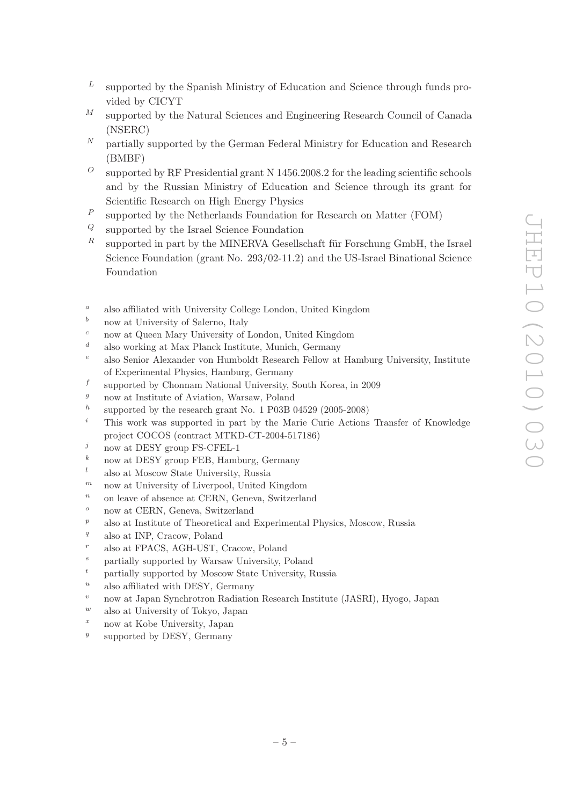- $L$  supported by the Spanish Ministry of Education and Science through funds provided by CICYT
- $M$  supported by the Natural Sciences and Engineering Research Council of Canada (NSERC)
- $N$  partially supported by the German Federal Ministry for Education and Research (BMBF)
- $\degree$  supported by RF Presidential grant N 1456.2008.2 for the leading scientific schools and by the Russian Ministry of Education and Science through its grant for Scientific Research on High Energy Physics
- $P$  supported by the Netherlands Foundation for Research on Matter (FOM)
- <sup>Q</sup> supported by the Israel Science Foundation
- $R$  supported in part by the MINERVA Gesellschaft für Forschung GmbH, the Israel Science Foundation (grant No. 293/02-11.2) and the US-Israel Binational Science Foundation
- <sup>a</sup> also affiliated with University College London, United Kingdom  $\frac{b}{b}$  now at University of Salarno, Italy
- <sup>b</sup> now at University of Salerno, Italy
- $c$  now at Queen Mary University of London, United Kingdom
- $d$  also working at Max Planck Institute, Munich, Germany
- $e$  also Senior Alexander von Humboldt Research Fellow at Hamburg University, Institute of Experimental Physics, Hamburg, Germany
- f supported by Chonnam National University, South Korea, in 2009
- $\frac{g}{g}$  now at Institute of Aviation, Warsaw, Poland
- h supported by the research grant No. 1 P03B 04529 (2005-2008)
- $i$  This work was supported in part by the Marie Curie Actions Transfer of Knowledge project COCOS (contract MTKD-CT-2004-517186)
- $j$  now at DESY group FS-CFEL-1
- $k$  now at DESY group FEB, Hamburg, Germany
- <sup>l</sup> also at Moscow State University, Russia
- $<sup>m</sup>$  now at University of Liverpool, United Kingdom</sup>
- $n$  on leave of absence at CERN, Geneva, Switzerland
- <sup>o</sup> now at CERN, Geneva, Switzerland
- $p<sup>p</sup>$  also at Institute of Theoretical and Experimental Physics, Moscow, Russia
- <sup>q</sup> also at INP, Cracow, Poland
- also at FPACS, AGH-UST, Cracow, Poland
- <sup>s</sup> partially supported by Warsaw University, Poland
- $t$  partially supported by Moscow State University, Russia
- $u$  also affiliated with DESY, Germany
- <sup>v</sup> now at Japan Synchrotron Radiation Research Institute (JASRI), Hyogo, Japan
- $w$  also at University of Tokyo, Japan
- $x$  now at Kobe University, Japan
- $\boldsymbol{y}$ supported by DESY, Germany